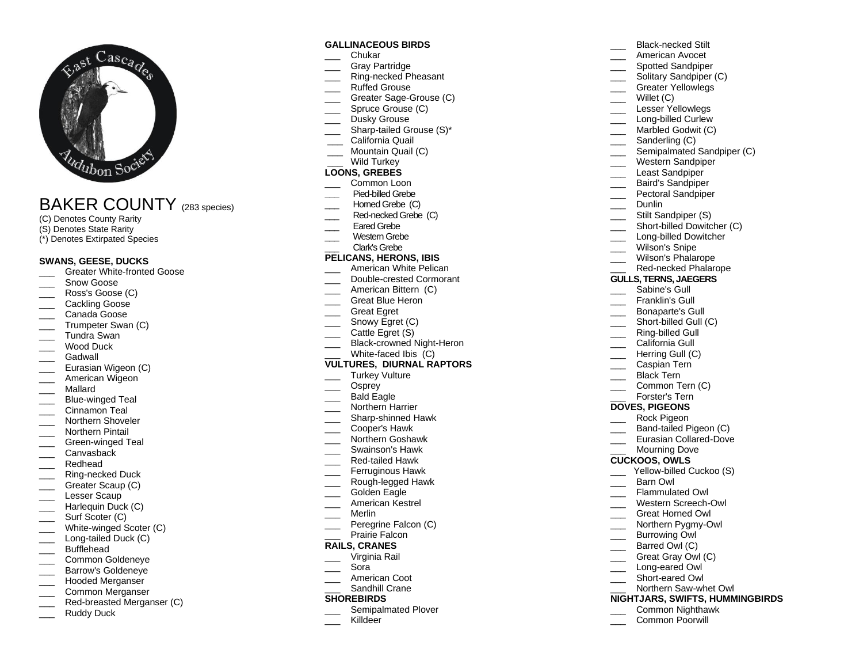

# BAKER COUNTY (2 8 3 species)

- (C) Denotes County Rarity
- (S) Denotes State Rarity
- (\*) Denotes Extirpated Species

## **SWANS, GEESE, DUCKS**

- \_\_\_ Greater White -fronted Goose
- Snow Goose
- Ross's Goose (C)
- Cackling Goose
- Canada Goose
- Trumpeter Swan (C)
- \_\_\_ Tundra Swan
- Wood Duck
- Gadwall
- Eurasian Wigeon (C)
- American Wigeon
- \_\_\_ Mallard
- \_\_\_ Blue -winged Teal
- \_\_\_ Cinnamon Teal
- Northern Shoveler
- \_\_\_ Northern Pintail
- \_\_\_ Green -winged Teal
- Canvasback
- \_\_\_ Redhead
- \_\_\_ Ring -necked Duck
- Greater Scaup (C)
- Lesser Scaup
- Harlequin Duck (C) Surf Scoter (C)
- 
- \_\_\_ White -winged Scoter (C) \_\_\_ Long -tailed Duck (C)
- Bufflehead
- Common Goldeneve
- Barrow's Goldeneye
- \_\_\_ Hooded Merganser
- Common Merganser
- \_\_\_ Red -breasted Merganser (C)
- Ruddy Duck

## **GALLINACEOUS BIRDS**

- \_\_\_ Chukar
- Gray Partridge
- \_\_\_ Ring -necked Pheasant
- Ruffed Grouse
- \_\_\_ Greater Sage -Grouse (C)
- Spruce Grouse (C)
- Dusky Grouse
- \_\_\_ Sharp -tailed Grouse (S)\*
- California Quail
- \_\_\_ Mountain Quail (C)
- Wild Turkey

## **LOONS, GREBES**

- Common Loon
- **\_\_\_** Pied -billed Grebe
- Homed Grebe (C)
- \_\_\_ Red -necked Grebe (C)
- Eared Grebe
- Western Grebe
- \_\_\_ Clark's Grebe

## **PELICANS, HERONS, IBIS**

- American White Pelican
- \_\_\_ Double -crested Cormorant
- American Bittern (C)
- Great Blue Heron
- Great Egret
- Snowy Egret (C)
- Cattle Egret (S)
- \_\_\_ Black-crowned Night-Heron
- \_\_\_ White -faced Ibis (C)

## **VULTURES, DIURNAL RAPTORS**

- Turkey Vulture
- \_\_\_ Osprey
- Bald Eagle
- \_\_\_ Northern Harrier
- \_\_\_ Sharp -shinned Hawk
- \_\_\_ Cooper's Hawk
- \_\_\_ Northern Goshawk
- Swainson's Hawk
- \_\_\_ Red -tailed Hawk
- Ferruginous Hawk
- \_\_\_ Rough -legged Hawk
- Golden Eagle
- American Kestrel
- \_\_\_ Merlin
- \_\_\_ Peregrine Falcon (C)
- Prairie Falcon

## **RAILS, CRANES**

- \_\_\_ Virginia Rail
- \_\_\_ Sora
- American Coot
- Sandhill Crane

## **SHOREBIRDS**

- Semipalmated Plover
- Killdeer
- \_\_\_ Black -necked Stilt
- \_\_\_ American Avocet
- Spotted Sandpiper
- Solitary Sandpiper (C)
- Greater Yellowlegs

\_\_\_ Long -billed Curlew Marbled Godwit (C) Sanderling (C) \_\_\_ Semipalmated Sandpiper (C) Western Sandpiper Least Sandpiper Baird's Sandpiper Pectoral Sandpiper

Stilt Sandpiper (S) \_\_\_ Short -billed Dowitcher (C) \_\_\_ Long -billed Dowitcher Wilson's Snipe \_\_\_ Wilson's Phalarope \_\_\_ Red -necked Phalarope **GULLS, TERNS, JAEGERS** Sabine's Gull Franklin's Gull \_\_\_ Bonaparte's Gull \_\_\_ Short -billed Gull (C) \_\_\_ Ring -billed Gull California Gull Herring Gull (C)

\_\_\_ Willet (C)

\_\_\_ Dunlin

\_\_\_ Caspian Tern<br>Black Tern

Common Tern (C) Forster's Tern **DOVES, PIGEONS** Rock Pigeon \_\_\_ Band -tailed Pigeon (C) \_\_\_ Eurasian Collared -Dove Mourning Dove **CUCKOOS, OWLS**

\_\_\_ Yellow -billed Cuckoo (S) \_\_\_ Barn Owl Flammulated Owl \_\_\_ Western Screech -Owl \_\_\_ Great Horned Owl \_\_\_ Northern Pygmy-Owl Burrowing Owl Barred Owl (C) Great Gray Owl (C)

\_\_\_ Long -eared Owl \_\_\_ Short -eared Owl \_\_\_ Northern Saw -whet Owl

**NIGHTJARS, SWIFTS, HUMMINGBIRDS** \_\_\_ Common Nighthawk Common Poorwill

Lesser Yellowlegs